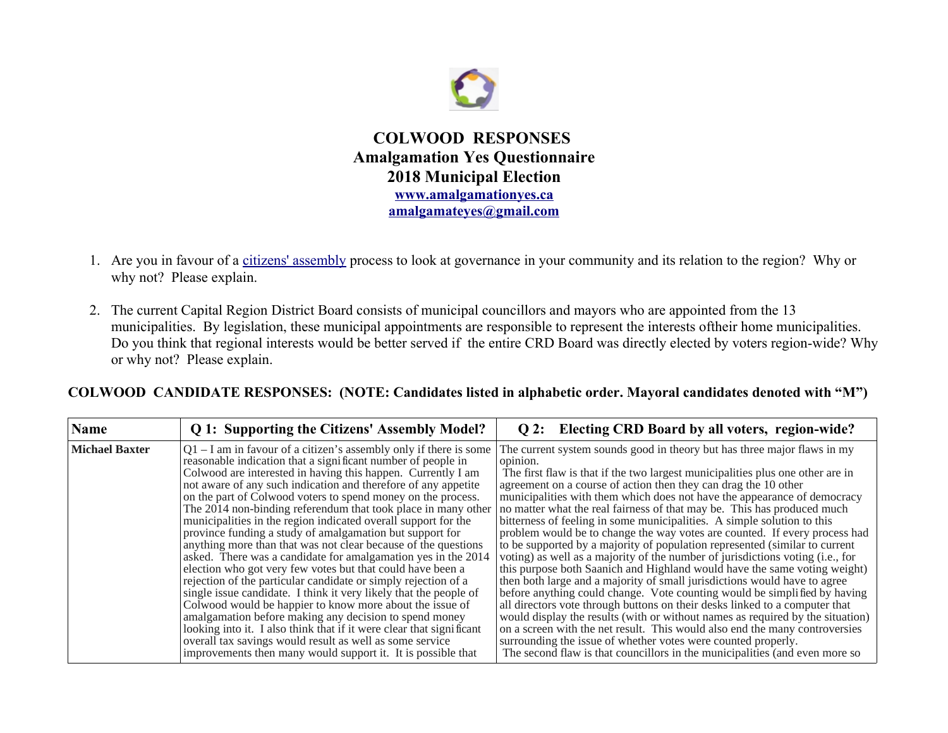

**COLWOOD RESPONSES Amalgamation Yes Questionnaire 2018 Municipal Election [www.amalgamationyes.ca](http://www.amalgamationyes.ca/) [amalgamateyes@gmail.com](mailto:amalgamateyes@gmail.com)**

- 1. Are you in favour of a [citizens' assembly](https://en.wikipedia.org/wiki/Citizens) process to look at governance in your community and its relation to the region? Why or why not? Please explain.
- 2. The current Capital Region District Board consists of municipal councillors and mayors who are appointed from the 13 municipalities. By legislation, these municipal appointments are responsible to represent the interests oftheir home municipalities. Do you think that regional interests would be better served if the entire CRD Board was directly elected by voters region-wide? Why or why not? Please explain.

| <b>Name</b>           | Q 1: Supporting the Citizens' Assembly Model?                                                                                                                                                                                                                                                                                                                                                                                                                                                                                                                                                                                                                                                                                                                                                                                                                                                                                                                                                                                                                                                                                                                                                          | Q 2: Electing CRD Board by all voters, region-wide?                                                                                                                                                                                                                                                                                                                                                                                                                                                                                                                                                                                                                                                                                                                                                                                                                                                                                                                                                                                                                                                                                                                                                                                                                                                                                                               |
|-----------------------|--------------------------------------------------------------------------------------------------------------------------------------------------------------------------------------------------------------------------------------------------------------------------------------------------------------------------------------------------------------------------------------------------------------------------------------------------------------------------------------------------------------------------------------------------------------------------------------------------------------------------------------------------------------------------------------------------------------------------------------------------------------------------------------------------------------------------------------------------------------------------------------------------------------------------------------------------------------------------------------------------------------------------------------------------------------------------------------------------------------------------------------------------------------------------------------------------------|-------------------------------------------------------------------------------------------------------------------------------------------------------------------------------------------------------------------------------------------------------------------------------------------------------------------------------------------------------------------------------------------------------------------------------------------------------------------------------------------------------------------------------------------------------------------------------------------------------------------------------------------------------------------------------------------------------------------------------------------------------------------------------------------------------------------------------------------------------------------------------------------------------------------------------------------------------------------------------------------------------------------------------------------------------------------------------------------------------------------------------------------------------------------------------------------------------------------------------------------------------------------------------------------------------------------------------------------------------------------|
| <b>Michael Baxter</b> | $Q1 - I$ am in favour of a citizen's assembly only if there is some<br>reasonable indication that a significant number of people in<br>Colwood are interested in having this happen. Currently I am<br>not aware of any such indication and therefore of any appetite<br>on the part of Colwood voters to spend money on the process.<br>The 2014 non-binding referendum that took place in many other<br>municipalities in the region indicated overall support for the<br>province funding a study of amalgamation but support for<br>anything more than that was not clear because of the questions<br>asked. There was a candidate for amalgamation yes in the 2014<br>election who got very few votes but that could have been a<br>rejection of the particular candidate or simply rejection of a<br>single issue candidate. I think it very likely that the people of<br>Colwood would be happier to know more about the issue of<br>amalgamation before making any decision to spend money<br>looking into it. I also think that if it were clear that significant<br>overall tax savings would result as well as some service<br>improvements then many would support it. It is possible that | The current system sounds good in theory but has three major flaws in my<br>opinion.<br>The first flaw is that if the two largest municipalities plus one other are in<br>agreement on a course of action then they can drag the 10 other<br>municipalities with them which does not have the appearance of democracy<br>no matter what the real fairness of that may be. This has produced much<br>bitterness of feeling in some municipalities. A simple solution to this<br>problem would be to change the way votes are counted. If every process had<br>to be supported by a majority of population represented (similar to current<br>voting) as well as a majority of the number of jurisdictions voting (i.e., for<br>this purpose both Saanich and Highland would have the same voting weight)<br>then both large and a majority of small jurisdictions would have to agree<br>before anything could change. Vote counting would be simplified by having<br>all directors vote through buttons on their desks linked to a computer that<br>would display the results (with or without names as required by the situation)<br>on a screen with the net result. This would also end the many controversies<br>surrounding the issue of whether votes were counted properly.<br>The second flaw is that councillors in the municipalities (and even more so |

## **COLWOOD CANDIDATE RESPONSES: (NOTE: Candidates listed in alphabetic order. Mayoral candidates denoted with "M")**